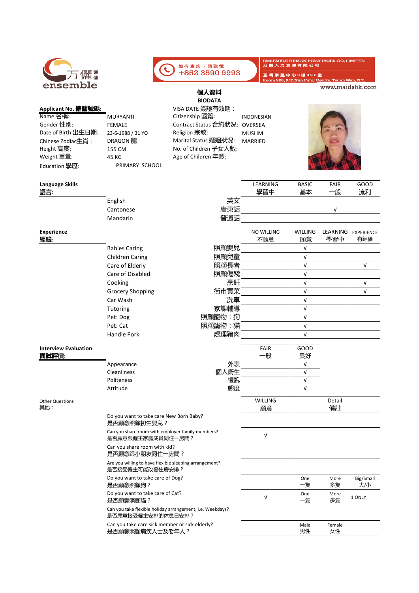| 万儷篇      |
|----------|
| ensemble |

## **Applicant No. 僱傭號碼:** VISA DATE 簽證有效期:

| Name 名稱:            | <b>MURYANTI</b>   | Citizenship 國籍:               | <b>INDONESIAN</b> |
|---------------------|-------------------|-------------------------------|-------------------|
| Gender 性別:          | <b>FEMALE</b>     | Contract Status 合約狀況: OVERSEA |                   |
| Date of Birth 出生日期: | 23-6-1988 / 31 YO | Religion 宗教:                  | <b>MUSLIM</b>     |
| Chinese Zodiac生肖:   | DRAGON 龍          | Marital Status 婚姻狀況: MARRIED  |                   |
| Height 高度:          | 155 CM            | No. of Children 子女人數:         |                   |
| Weight 重量:          | 45 KG             | Age of Children 年齡:           |                   |
| Education 學歷:       | PRIMARY SCHOOL    |                               |                   |

**Language Skills**  LEARNING BASIC FAIR GOOD **語言:** 學習中 基本 一般 流利 English 英文 Cantonese 廣東話 │ │ │ │ │ │ 普通話 Mandarin **Experience**  NO WILLING WILLING LEARNING **經驗:** 不願意 願意 學習中 有經驗 Babies Caring Children Caring Care of Elderly Care of Disabled Cooking 烹飪│ v v Grocery Shopping 街市買菜 │ │ │ │ │ │ │ │ Car Wash Tutoring 家課輔導| | v Pet: Dog 照顧寵物:狗 │ │ │ │ │ │ │ │ Pet: Cat 照顧寵物:貓 │ │ │ │ │ │ │ Handle Pork **Interview Evaluation**  FAIR GOOD **面試評價:** 一般 良好 Appearance 外表 √ Cleanliness 個人衛生 √ Politeness 禮貌 √ Attitude 態度 │ │ v WILLING Detail  $\mathbf{I}$ Other Questions 其他: 願意 備註 Do you want to take care New Born Baby? 是否願意照顧初生嬰兒? Can you share room with employer family members? √ 是否願意跟僱主家庭成員同住一房間? Can you share room with kid? 是否願意跟小朋友同住一房間? Are you willing to have flexible sleeping arrangement? 是否接受僱主可能改變住房安排? Do you want to take care of Dog? One More Big/Small 是否願意照顧狗? 一隻 多隻 大/小 Do you want to take care of Cat? <sup>√</sup> One More 是否願意照顧貓?

**個人資料 BIODATA**

如有查詢,請致電 +852 3590 9993

Can you take flexible holiday arrangement, i.e. Weekdays? 是否願意接受僱主安排的休息日安排?

Can you take care sick member or sick elderly? 是否願意照顧病疾人士及老年人?

**photo** 

**IRCES CO. LIMITED** 

N1 www.maidshk.com

| LEARNING | <b>BASIC</b> | <b>FAIR</b> | GOOD |  |
|----------|--------------|-------------|------|--|
| 學習中      |              | 般           |      |  |
|          |              |             |      |  |
|          |              |             |      |  |
|          |              |             |      |  |
|          |              |             |      |  |

|        | <b>NO WILLING</b> | <b>WILLING</b> | LEARNING | <b>EXPERIENCE</b> |
|--------|-------------------|----------------|----------|-------------------|
|        | 不願意               | 願意             | 學習中      | 有經驗               |
| 照顧嬰兒   |                   | ν              |          |                   |
| 照顧兒童   |                   | $\sqrt{ }$     |          |                   |
| 照顧長者   |                   | V              |          | ν                 |
| 照顧傷殘   |                   | ν              |          |                   |
| 烹飪     |                   | ν              |          | ν                 |
| 街市買菜   |                   | V              |          | ν                 |
| 洗車     |                   | V              |          |                   |
| 家課輔導   |                   | J              |          |                   |
| 照顧寵物:狗 |                   |                |          |                   |
| 照顧寵物:貓 |                   | J              |          |                   |
| 處理豬肉   |                   |                |          |                   |

EMSEMBLE HUMAN RESOT<br>万 儷 人 力 資 源 有 限 公 司

荃 灣 南 豐 中 心 9 樓 9 2 6 室

| VVILLIIVO<br>願意 | Detail<br>備註 |              |                  |
|-----------------|--------------|--------------|------------------|
|                 |              |              |                  |
| ν               |              |              |                  |
|                 |              |              |                  |
|                 |              |              |                  |
|                 | One<br>-隻    | More<br>多隻   | Big/Small<br>大/小 |
| ν               | One<br>−隻    | More<br>多隻   | 1 ONLY           |
|                 |              |              |                  |
|                 | Male<br>男性   | Female<br>女性 |                  |